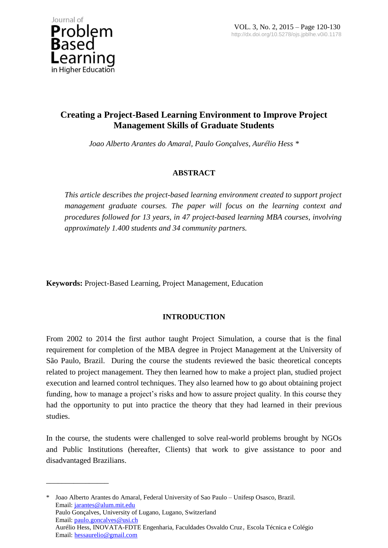

\_\_\_\_\_\_\_\_\_\_\_\_\_\_\_\_

# **Creating a Project-Based Learning Environment to Improve Project Management Skills of Graduate Students**

*Joao Alberto Arantes do Amaral, Paulo Gonçalves, Aurélio Hess \**

# **ABSTRACT**

*This article describes the project-based learning environment created to support project management graduate courses. The paper will focus on the learning context and procedures followed for 13 years, in 47 project-based learning MBA courses, involving approximately 1.400 students and 34 community partners.*

**Keywords:** Project-Based Learning, Project Management, Education

# **INTRODUCTION**

From 2002 to 2014 the first author taught Project Simulation, a course that is the final requirement for completion of the MBA degree in Project Management at the University of São Paulo, Brazil. During the course the students reviewed the basic theoretical concepts related to project management. They then learned how to make a project plan, studied project execution and learned control techniques. They also learned how to go about obtaining project funding, how to manage a project's risks and how to assure project quality. In this course they had the opportunity to put into practice the theory that they had learned in their previous studies.

In the course, the students were challenged to solve real-world problems brought by NGOs and Public Institutions (hereafter, Clients) that work to give assistance to poor and disadvantaged Brazilians.

\* Joao Alberto Arantes do Amaral, Federal University of Sao Paulo – Unifesp Osasco, Brazil. Email: jarantes@alum.mit.edu Paulo Gonçalves, University of Lugano, Lugano, Switzerland Email: paulo.goncalves@usi.ch Aurélio Hess, INOVATA-FDTE Engenharia, Faculdades Osvaldo Cruz, Escola Técnica e Colégio Email: hessaurelio@gmail.com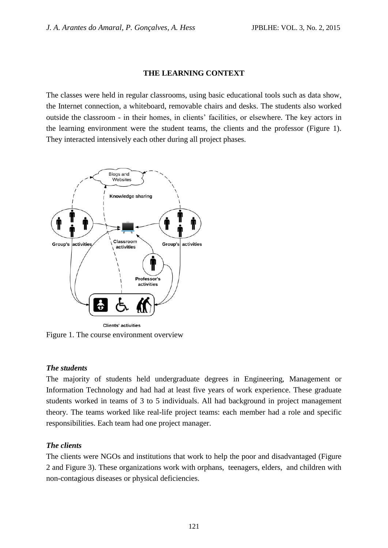### **THE LEARNING CONTEXT**

The classes were held in regular classrooms, using basic educational tools such as data show, the Internet connection, a whiteboard, removable chairs and desks. The students also worked outside the classroom - in their homes, in clients' facilities, or elsewhere. The key actors in the learning environment were the student teams, the clients and the professor (Figure 1). They interacted intensively each other during all project phases.



Figure 1. The course environment overview

#### *The students*

The majority of students held undergraduate degrees in Engineering, Management or Information Technology and had had at least five years of work experience. These graduate students worked in teams of 3 to 5 individuals. All had background in project management theory. The teams worked like real-life project teams: each member had a role and specific responsibilities. Each team had one project manager.

# *The clients*

The clients were NGOs and institutions that work to help the poor and disadvantaged (Figure 2 and Figure 3). These organizations work with orphans, teenagers, elders, and children with non-contagious diseases or physical deficiencies.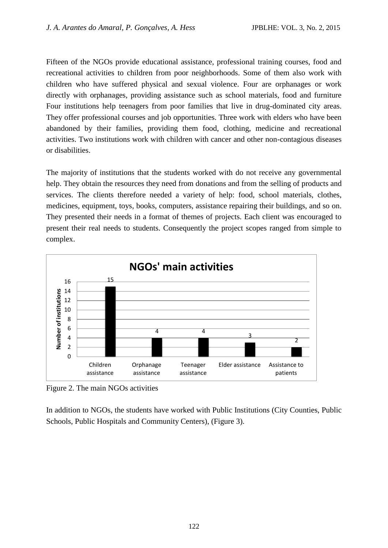Fifteen of the NGOs provide educational assistance, professional training courses, food and recreational activities to children from poor neighborhoods. Some of them also work with children who have suffered physical and sexual violence. Four are orphanages or work directly with orphanages, providing assistance such as school materials, food and furniture Four institutions help teenagers from poor families that live in drug-dominated city areas. They offer professional courses and job opportunities. Three work with elders who have been abandoned by their families, providing them food, clothing, medicine and recreational activities. Two institutions work with children with cancer and other non-contagious diseases or disabilities.

The majority of institutions that the students worked with do not receive any governmental help. They obtain the resources they need from donations and from the selling of products and services. The clients therefore needed a variety of help: food, school materials, clothes, medicines, equipment, toys, books, computers, assistance repairing their buildings, and so on. They presented their needs in a format of themes of projects. Each client was encouraged to present their real needs to students. Consequently the project scopes ranged from simple to complex.



Figure 2. The main NGOs activities

In addition to NGOs, the students have worked with Public Institutions (City Counties, Public Schools, Public Hospitals and Community Centers), (Figure 3).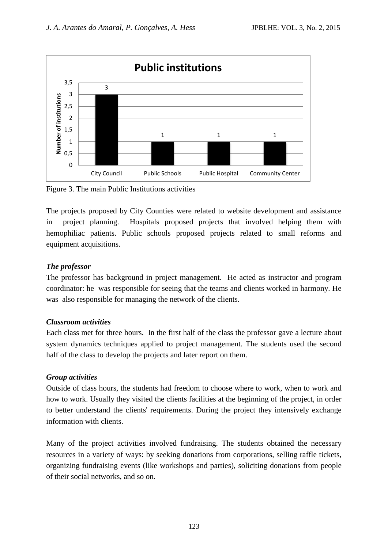

Figure 3. The main Public Institutions activities

The projects proposed by City Counties were related to website development and assistance in project planning. Hospitals proposed projects that involved helping them with hemophiliac patients. Public schools proposed projects related to small reforms and equipment acquisitions.

#### *The professor*

The professor has background in project management. He acted as instructor and program coordinator: he was responsible for seeing that the teams and clients worked in harmony. He was also responsible for managing the network of the clients.

#### *Classroom activities*

Each class met for three hours. In the first half of the class the professor gave a lecture about system dynamics techniques applied to project management. The students used the second half of the class to develop the projects and later report on them.

#### *Group activities*

Outside of class hours, the students had freedom to choose where to work, when to work and how to work. Usually they visited the clients facilities at the beginning of the project, in order to better understand the clients' requirements. During the project they intensively exchange information with clients.

Many of the project activities involved fundraising. The students obtained the necessary resources in a variety of ways: by seeking donations from corporations, selling raffle tickets, organizing fundraising events (like workshops and parties), soliciting donations from people of their social networks, and so on.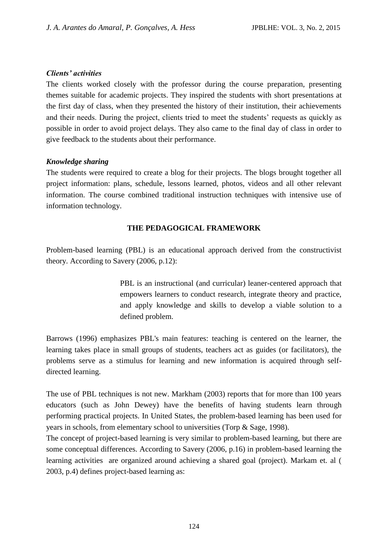### *Clients' activities*

The clients worked closely with the professor during the course preparation, presenting themes suitable for academic projects. They inspired the students with short presentations at the first day of class, when they presented the history of their institution, their achievements and their needs. During the project, clients tried to meet the students' requests as quickly as possible in order to avoid project delays. They also came to the final day of class in order to give feedback to the students about their performance.

### *Knowledge sharing*

The students were required to create a blog for their projects. The blogs brought together all project information: plans, schedule, lessons learned, photos, videos and all other relevant information. The course combined traditional instruction techniques with intensive use of information technology.

# **THE PEDAGOGICAL FRAMEWORK**

Problem-based learning (PBL) is an educational approach derived from the constructivist theory. According to Savery (2006, p.12):

> PBL is an instructional (and curricular) leaner-centered approach that empowers learners to conduct research, integrate theory and practice, and apply knowledge and skills to develop a viable solution to a defined problem.

Barrows (1996) emphasizes PBL's main features: teaching is centered on the learner, the learning takes place in small groups of students, teachers act as guides (or facilitators), the problems serve as a stimulus for learning and new information is acquired through selfdirected learning.

The use of PBL techniques is not new. Markham (2003) reports that for more than 100 years educators (such as John Dewey) have the benefits of having students learn through performing practical projects. In United States, the problem-based learning has been used for years in schools, from elementary school to universities (Torp & Sage, 1998).

The concept of project-based learning is very similar to problem-based learning, but there are some conceptual differences. According to Savery (2006, p.16) in problem-based learning the learning activities are organized around achieving a shared goal (project). Markam et. al ( 2003, p.4) defines project-based learning as: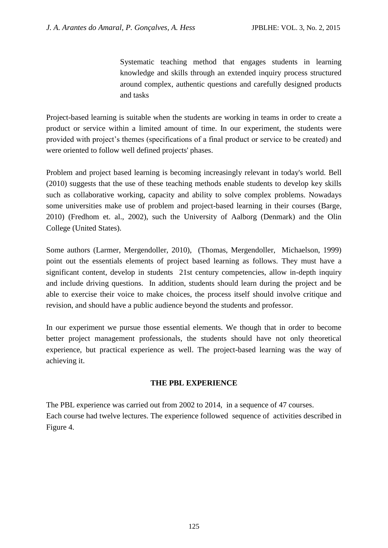Systematic teaching method that engages students in learning knowledge and skills through an extended inquiry process structured around complex, authentic questions and carefully designed products and tasks

Project-based learning is suitable when the students are working in teams in order to create a product or service within a limited amount of time. In our experiment, the students were provided with project's themes (specifications of a final product or service to be created) and were oriented to follow well defined projects' phases.

Problem and project based learning is becoming increasingly relevant in today's world. Bell (2010) suggests that the use of these teaching methods enable students to develop key skills such as collaborative working, capacity and ability to solve complex problems. Nowadays some universities make use of problem and project-based learning in their courses (Barge, 2010) (Fredhom et. al., 2002), such the University of Aalborg (Denmark) and the Olin College (United States).

Some authors (Larmer, Mergendoller, 2010), (Thomas, Mergendoller, Michaelson, 1999) point out the essentials elements of project based learning as follows. They must have a significant content, develop in students 21st century competencies, allow in-depth inquiry and include driving questions. In addition, students should learn during the project and be able to exercise their voice to make choices, the process itself should involve critique and revision, and should have a public audience beyond the students and professor.

In our experiment we pursue those essential elements. We though that in order to become better project management professionals, the students should have not only theoretical experience, but practical experience as well. The project-based learning was the way of achieving it.

#### **THE PBL EXPERIENCE**

The PBL experience was carried out from 2002 to 2014, in a sequence of 47 courses. Each course had twelve lectures. The experience followed sequence of activities described in Figure 4.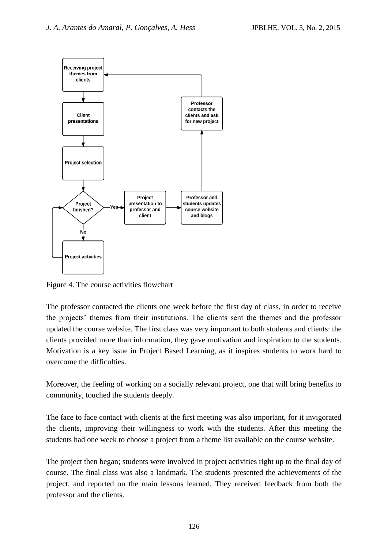

Figure 4. The course activities flowchart

The professor contacted the clients one week before the first day of class, in order to receive the projects' themes from their institutions. The clients sent the themes and the professor updated the course website. The first class was very important to both students and clients: the clients provided more than information, they gave motivation and inspiration to the students. Motivation is a key issue in Project Based Learning, as it inspires students to work hard to overcome the difficulties.

Moreover, the feeling of working on a socially relevant project, one that will bring benefits to community, touched the students deeply.

The face to face contact with clients at the first meeting was also important, for it invigorated the clients, improving their willingness to work with the students. After this meeting the students had one week to choose a project from a theme list available on the course website.

The project then began; students were involved in project activities right up to the final day of course. The final class was also a landmark. The students presented the achievements of the project, and reported on the main lessons learned. They received feedback from both the professor and the clients.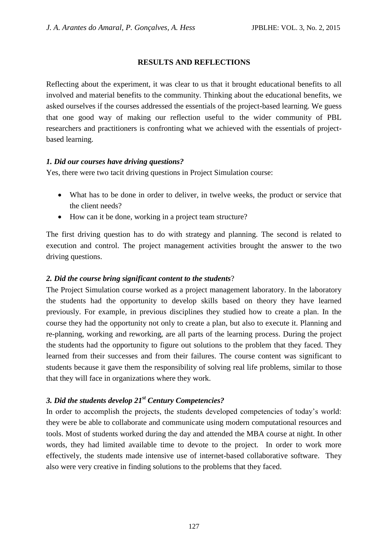#### **RESULTS AND REFLECTIONS**

Reflecting about the experiment, it was clear to us that it brought educational benefits to all involved and material benefits to the community. Thinking about the educational benefits, we asked ourselves if the courses addressed the essentials of the project-based learning. We guess that one good way of making our reflection useful to the wider community of PBL researchers and practitioners is confronting what we achieved with the essentials of projectbased learning.

#### *1. Did our courses have driving questions?*

Yes, there were two tacit driving questions in Project Simulation course:

- What has to be done in order to deliver, in twelve weeks, the product or service that the client needs?
- How can it be done, working in a project team structure?

The first driving question has to do with strategy and planning. The second is related to execution and control. The project management activities brought the answer to the two driving questions.

#### *2. Did the course bring significant content to the students*?

The Project Simulation course worked as a project management laboratory. In the laboratory the students had the opportunity to develop skills based on theory they have learned previously. For example, in previous disciplines they studied how to create a plan. In the course they had the opportunity not only to create a plan, but also to execute it. Planning and re-planning, working and reworking, are all parts of the learning process. During the project the students had the opportunity to figure out solutions to the problem that they faced. They learned from their successes and from their failures. The course content was significant to students because it gave them the responsibility of solving real life problems, similar to those that they will face in organizations where they work.

#### *3. Did the students develop 21st Century Competencies?*

In order to accomplish the projects, the students developed competencies of today's world: they were be able to collaborate and communicate using modern computational resources and tools. Most of students worked during the day and attended the MBA course at night. In other words, they had limited available time to devote to the project. In order to work more effectively, the students made intensive use of internet-based collaborative software. They also were very creative in finding solutions to the problems that they faced.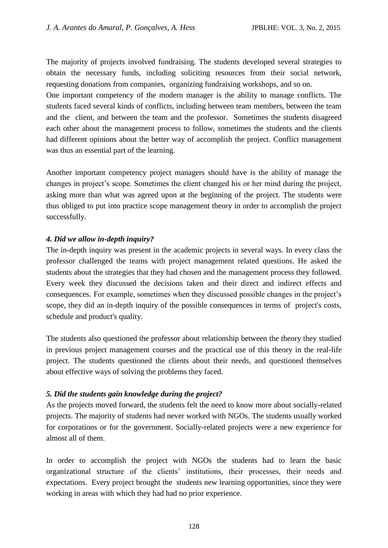The majority of projects involved fundraising. The students developed several strategies to obtain the necessary funds, including soliciting resources from their social network, requesting donations from companies, organizing fundraising workshops, and so on.

One important competency of the modern manager is the ability to manage conflicts. The students faced several kinds of conflicts, including between team members, between the team and the client, and between the team and the professor. Sometimes the students disagreed each other about the management process to follow, sometimes the students and the clients had different opinions about the better way of accomplish the project. Conflict management was thus an essential part of the learning.

Another important competency project managers should have is the ability of manage the changes in project's scope. Sometimes the client changed his or her mind during the project, asking more than what was agreed upon at the beginning of the project. The students were thus obliged to put into practice scope management theory in order to accomplish the project successfully.

### *4. Did we allow in-depth inquiry?*

The in-depth inquiry was present in the academic projects in several ways. In every class the professor challenged the teams with project management related questions. He asked the students about the strategies that they had chosen and the management process they followed. Every week they discussed the decisions taken and their direct and indirect effects and consequences. For example, sometimes when they discussed possible changes in the project's scope, they did an in-depth inquiry of the possible consequences in terms of project's costs, schedule and product's quality.

The students also questioned the professor about relationship between the theory they studied in previous project management courses and the practical use of this theory in the real-life project. The students questioned the clients about their needs, and questioned themselves about effective ways of solving the problems they faced.

# *5. Did the students gain knowledge during the project?*

As the projects moved forward, the students felt the need to know more about socially-related projects. The majority of students had never worked with NGOs. The students usually worked for corporations or for the government. Socially-related projects were a new experience for almost all of them.

In order to accomplish the project with NGOs the students had to learn the basic organizational structure of the clients' institutions, their processes, their needs and expectations. Every project brought the students new learning opportunities, since they were working in areas with which they had had no prior experience.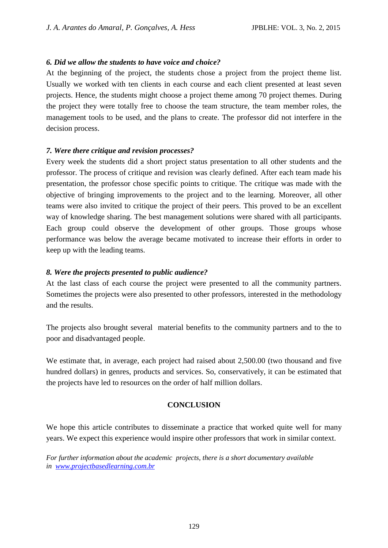#### *6. Did we allow the students to have voice and choice?*

At the beginning of the project, the students chose a project from the project theme list. Usually we worked with ten clients in each course and each client presented at least seven projects. Hence, the students might choose a project theme among 70 project themes. During the project they were totally free to choose the team structure, the team member roles, the management tools to be used, and the plans to create. The professor did not interfere in the decision process.

### *7. Were there critique and revision processes?*

Every week the students did a short project status presentation to all other students and the professor. The process of critique and revision was clearly defined. After each team made his presentation, the professor chose specific points to critique. The critique was made with the objective of bringing improvements to the project and to the learning. Moreover, all other teams were also invited to critique the project of their peers. This proved to be an excellent way of knowledge sharing. The best management solutions were shared with all participants. Each group could observe the development of other groups. Those groups whose performance was below the average became motivated to increase their efforts in order to keep up with the leading teams.

### *8. Were the projects presented to public audience?*

At the last class of each course the project were presented to all the community partners. Sometimes the projects were also presented to other professors, interested in the methodology and the results.

The projects also brought several material benefits to the community partners and to the to poor and disadvantaged people.

We estimate that, in average, each project had raised about 2,500.00 (two thousand and five hundred dollars) in genres, products and services. So, conservatively, it can be estimated that the projects have led to resources on the order of half million dollars.

#### **CONCLUSION**

We hope this article contributes to disseminate a practice that worked quite well for many years. We expect this experience would inspire other professors that work in similar context.

*For further information about the academic projects, there is a short documentary available in [www.projectbasedlearning.com.br](http://www.projectbasedlearning.com.br/)*